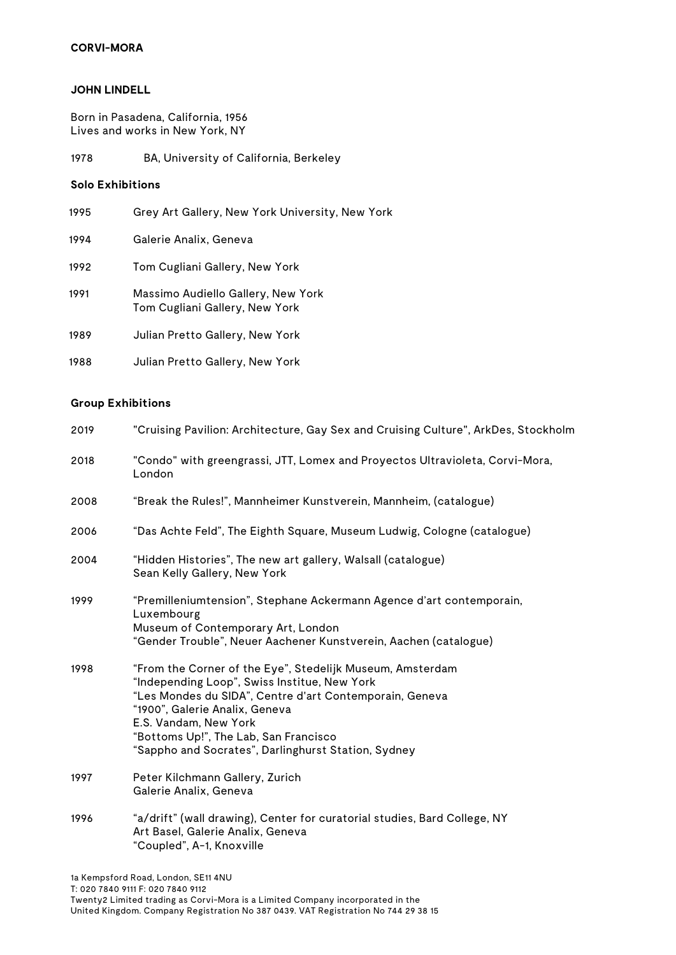# **CORVI-MORA**

#### **JOHN LINDELL**

Born in Pasadena, California, 1956 Lives and works in New York, NY

1978 BA, University of California, Berkeley

#### **Solo Exhibitions**

| 1995 | Grey Art Gallery, New York University, New York                      |
|------|----------------------------------------------------------------------|
| 1994 | Galerie Analix, Geneva                                               |
| 1992 | Tom Cugliani Gallery, New York                                       |
| 1991 | Massimo Audiello Gallery, New York<br>Tom Cugliani Gallery, New York |
| 1989 | Julian Pretto Gallery, New York                                      |
| 1988 | Julian Pretto Gallery, New York                                      |

### **Group Exhibitions**

| 2019 | "Cruising Pavilion: Architecture, Gay Sex and Cruising Culture", ArkDes, Stockholm                                                                                                                                                                                                                                              |
|------|---------------------------------------------------------------------------------------------------------------------------------------------------------------------------------------------------------------------------------------------------------------------------------------------------------------------------------|
| 2018 | "Condo" with greengrassi, JTT, Lomex and Proyectos Ultravioleta, Corvi-Mora,<br>London                                                                                                                                                                                                                                          |
| 2008 | "Break the Rules!", Mannheimer Kunstverein, Mannheim, (catalogue)                                                                                                                                                                                                                                                               |
| 2006 | "Das Achte Feld", The Eighth Square, Museum Ludwig, Cologne (catalogue)                                                                                                                                                                                                                                                         |
| 2004 | "Hidden Histories", The new art gallery, Walsall (catalogue)<br>Sean Kelly Gallery, New York                                                                                                                                                                                                                                    |
| 1999 | "Premilleniumtension", Stephane Ackermann Agence d'art contemporain,<br>Luxembourg<br>Museum of Contemporary Art, London<br>"Gender Trouble", Neuer Aachener Kunstverein, Aachen (catalogue)                                                                                                                                    |
| 1998 | "From the Corner of the Eye", Stedelijk Museum, Amsterdam<br>"Independing Loop", Swiss Institue, New York<br>"Les Mondes du SIDA", Centre d'art Contemporain, Geneva<br>"1900", Galerie Analix, Geneva<br>E.S. Vandam, New York<br>"Bottoms Up!", The Lab, San Francisco<br>"Sappho and Socrates", Darlinghurst Station, Sydney |
| 1997 | Peter Kilchmann Gallery, Zurich<br>Galerie Analix, Geneva                                                                                                                                                                                                                                                                       |
| 1996 | "a/drift" (wall drawing), Center for curatorial studies, Bard College, NY<br>Art Basel, Galerie Analix, Geneva<br>"Coupled", A-1, Knoxville                                                                                                                                                                                     |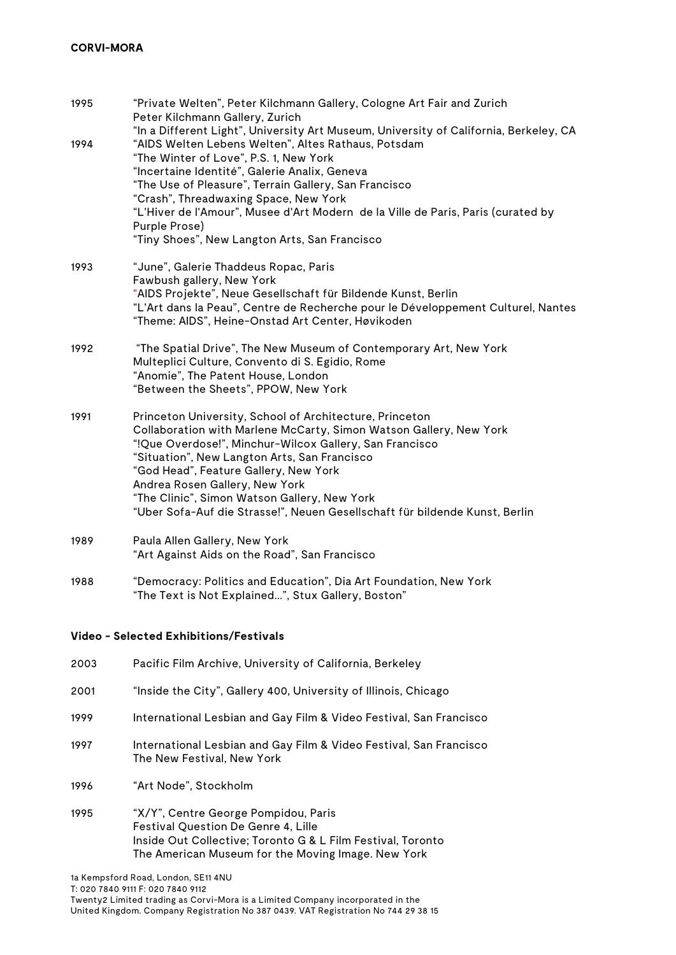| 1995 | "Private Welten", Peter Kilchmann Gallery, Cologne Art Fair and Zurich<br>Peter Kilchmann Gallery, Zurich                                                                                                                                                                                                                                                                                                                                          |
|------|----------------------------------------------------------------------------------------------------------------------------------------------------------------------------------------------------------------------------------------------------------------------------------------------------------------------------------------------------------------------------------------------------------------------------------------------------|
| 1994 | "In a Different Light", University Art Museum, University of California, Berkeley, CA<br>"AIDS Welten Lebens Welten", Altes Rathaus, Potsdam<br>"The Winter of Love", P.S. 1, New York<br>"Incertaine Identité", Galerie Analix, Geneva<br>"The Use of Pleasure", Terrain Gallery, San Francisco<br>"Crash", Threadwaxing Space, New York<br>"L'Hiver de l'Amour", Musee d'Art Modern de la Ville de Paris, Paris (curated by<br>Purple Prose)     |
|      | "Tiny Shoes", New Langton Arts, San Francisco                                                                                                                                                                                                                                                                                                                                                                                                      |
| 1993 | "June", Galerie Thaddeus Ropac, Paris<br>Fawbush gallery, New York<br>"AIDS Projekte", Neue Gesellschaft für Bildende Kunst, Berlin<br>"L'Art dans la Peau", Centre de Recherche pour le Développement Culturel, Nantes<br>"Theme: AIDS", Heine-Onstad Art Center, Høvikoden                                                                                                                                                                       |
| 1992 | "The Spatial Drive", The New Museum of Contemporary Art, New York<br>Multeplici Culture, Convento di S. Egidio, Rome<br>"Anomie", The Patent House, London<br>"Between the Sheets", PPOW, New York                                                                                                                                                                                                                                                 |
| 1991 | Princeton University, School of Architecture, Princeton<br>Collaboration with Marlene McCarty, Simon Watson Gallery, New York<br>"!Que Overdose!", Minchur-Wilcox Gallery, San Francisco<br>"Situation", New Langton Arts, San Francisco<br>"God Head", Feature Gallery, New York<br>Andrea Rosen Gallery, New York<br>"The Clinic", Simon Watson Gallery, New York<br>"Uber Sofa-Auf die Strasse!", Neuen Gesellschaft für bildende Kunst, Berlin |
| 1989 | Paula Allen Gallery, New York<br>"Art Against Aids on the Road", San Francisco                                                                                                                                                                                                                                                                                                                                                                     |
| 1988 | "Democracy: Politics and Education", Dia Art Foundation, New York<br>"The Text is Not Explained", Stux Gallery, Boston"                                                                                                                                                                                                                                                                                                                            |

# **Video - Selected Exhibitions/Festivals**

- 2003 Pacific Film Archive, University of California, Berkeley
- 2001 "Inside the City", Gallery 400, University of Illinois, Chicago
- 1999 International Lesbian and Gay Film & Video Festival, San Francisco
- 1997 International Lesbian and Gay Film & Video Festival, San Francisco The New Festival, New York
- 1996 "Art Node", Stockholm
- 1995 "X/Y", Centre George Pompidou, Paris Festival Question De Genre 4, Lille Inside Out Collective; Toronto G & L Film Festival, Toronto The American Museum for the Moving Image. New York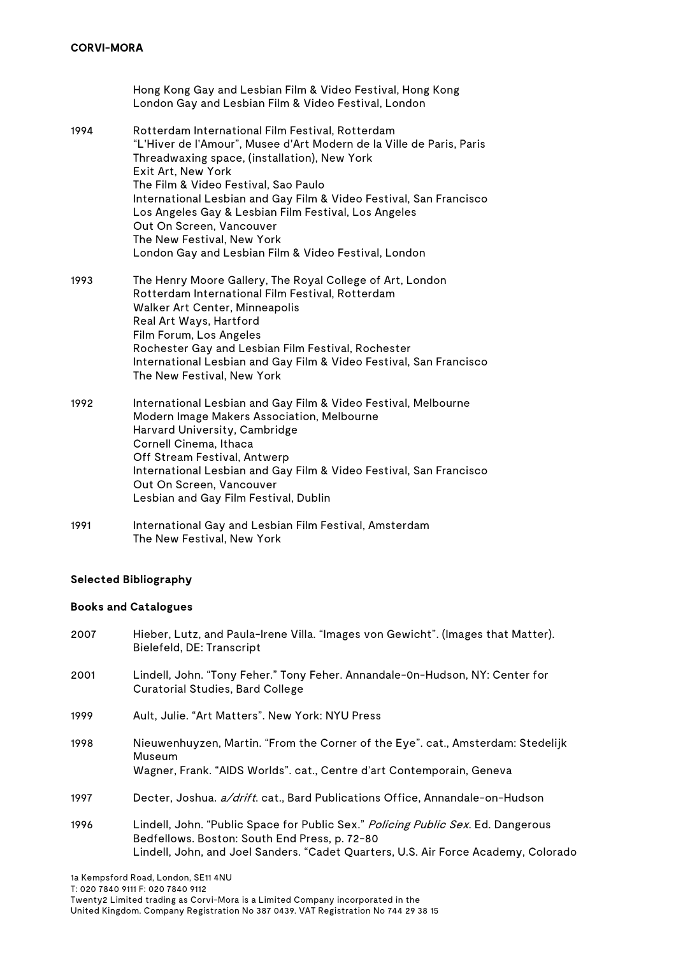Hong Kong Gay and Lesbian Film & Video Festival, Hong Kong London Gay and Lesbian Film & Video Festival, London 1994 Rotterdam International Film Festival, Rotterdam "L'Hiver de l'Amour", Musee d'Art Modern de la Ville de Paris, Paris Threadwaxing space, (installation), New York Exit Art, New York The Film & Video Festival, Sao Paulo International Lesbian and Gay Film & Video Festival, San Francisco Los Angeles Gay & Lesbian Film Festival, Los Angeles Out On Screen, Vancouver The New Festival, New York London Gay and Lesbian Film & Video Festival, London 1993 The Henry Moore Gallery, The Royal College of Art, London Rotterdam International Film Festival, Rotterdam Walker Art Center, Minneapolis Real Art Ways, Hartford Film Forum, Los Angeles Rochester Gay and Lesbian Film Festival, Rochester International Lesbian and Gay Film & Video Festival, San Francisco The New Festival, New York 1992 International Lesbian and Gay Film & Video Festival, Melbourne Modern Image Makers Association, Melbourne Harvard University, Cambridge Cornell Cinema, Ithaca Off Stream Festival, Antwerp International Lesbian and Gay Film & Video Festival, San Francisco Out On Screen, Vancouver Lesbian and Gay Film Festival, Dublin 1991 International Gay and Lesbian Film Festival, Amsterdam

# **Selected Bibliography**

The New Festival, New York

# **Books and Catalogues**

2007 Hieber, Lutz, and Paula-Irene Villa. "Images von Gewicht". (Images that Matter). Bielefeld, DE: Transcript 2001 Lindell, John. "Tony Feher." Tony Feher. Annandale-0n-Hudson, NY: Center for Curatorial Studies, Bard College 1999 Ault, Julie. "Art Matters". New York: NYU Press 1998 Nieuwenhuyzen, Martin. "From the Corner of the Eye". cat., Amsterdam: Stedelijk Museum Wagner, Frank. "AIDS Worlds". cat., Centre d'art Contemporain, Geneva 1997 Decter, Joshua. *a/drift*. cat., Bard Publications Office, Annandale-on-Hudson 1996 Lindell, John. "Public Space for Public Sex." Policing Public Sex. Ed. Dangerous Bedfellows. Boston: South End Press, p. 72-80 Lindell, John, and Joel Sanders. "Cadet Quarters, U.S. Air Force Academy, Colorado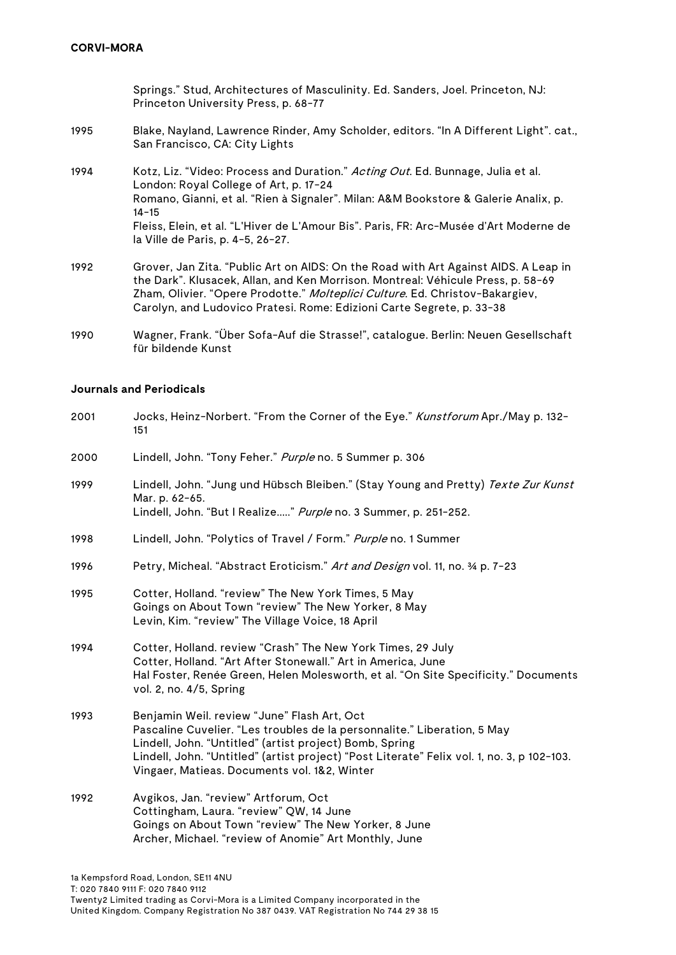Springs." Stud, Architectures of Masculinity. Ed. Sanders, Joel. Princeton, NJ: Princeton University Press, p. 68-77

- 1995 Blake, Nayland, Lawrence Rinder, Amy Scholder, editors. "In A Different Light". cat., San Francisco, CA: City Lights
- 1994 Kotz, Liz. "Video: Process and Duration." Acting Out. Ed. Bunnage, Julia et al. London: Royal College of Art, p. 17-24 Romano, Gianni, et al. "Rien à Signaler". Milan: A&M Bookstore & Galerie Analix, p. 14-15 Fleiss, Elein, et al. "L'Hiver de L'Amour Bis". Paris, FR: Arc-Musée d'Art Moderne de la Ville de Paris, p. 4-5, 26-27.
- 1992 Grover, Jan Zita. "Public Art on AIDS: On the Road with Art Against AIDS. A Leap in the Dark". Klusacek, Allan, and Ken Morrison. Montreal: Véhicule Press, p. 58-69 Zham, Olivier. "Opere Prodotte." Molteplici Culture. Ed. Christov-Bakargiev, Carolyn, and Ludovico Pratesi. Rome: Edizioni Carte Segrete, p. 33-38
- 1990 Wagner, Frank. "Über Sofa-Auf die Strasse!", catalogue. Berlin: Neuen Gesellschaft für bildende Kunst

#### **Journals and Periodicals**

| 2001 | Jocks, Heinz-Norbert. "From the Corner of the Eye." Kunstforum Apr./May p. 132-<br>151                                                                                                                                                                                                                                           |
|------|----------------------------------------------------------------------------------------------------------------------------------------------------------------------------------------------------------------------------------------------------------------------------------------------------------------------------------|
| 2000 | Lindell, John. "Tony Feher." Purple no. 5 Summer p. 306                                                                                                                                                                                                                                                                          |
| 1999 | Lindell, John. "Jung und Hübsch Bleiben." (Stay Young and Pretty) Texte Zur Kunst<br>Mar. p. 62-65.<br>Lindell, John. "But I Realize" Purple no. 3 Summer, p. 251-252.                                                                                                                                                           |
| 1998 | Lindell, John. "Polytics of Travel / Form." Purple no. 1 Summer                                                                                                                                                                                                                                                                  |
| 1996 | Petry, Micheal. "Abstract Eroticism." Art and Design vol. 11, no. 34 p. 7-23                                                                                                                                                                                                                                                     |
| 1995 | Cotter, Holland. "review" The New York Times, 5 May<br>Goings on About Town "review" The New Yorker, 8 May<br>Levin, Kim. "review" The Village Voice, 18 April                                                                                                                                                                   |
| 1994 | Cotter, Holland. review "Crash" The New York Times, 29 July<br>Cotter, Holland. "Art After Stonewall." Art in America, June<br>Hal Foster, Renée Green, Helen Molesworth, et al. "On Site Specificity." Documents<br>vol. 2, no. 4/5, Spring                                                                                     |
| 1993 | Benjamin Weil. review "June" Flash Art, Oct<br>Pascaline Cuvelier. "Les troubles de la personnalite." Liberation, 5 May<br>Lindell, John. "Untitled" (artist project) Bomb, Spring<br>Lindell, John. "Untitled" (artist project) "Post Literate" Felix vol. 1, no. 3, p 102-103.<br>Vingaer, Matieas. Documents vol. 1&2, Winter |
| 1992 | Avgikos, Jan. "review" Artforum, Oct<br>Cottingham, Laura. "review" QW, 14 June<br>Goings on About Town "review" The New Yorker, 8 June<br>Archer, Michael. "review of Anomie" Art Monthly, June                                                                                                                                 |